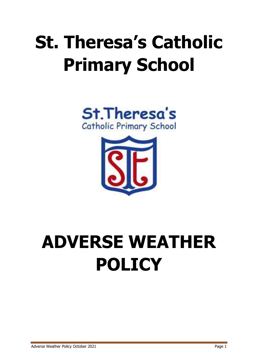# **St. Theresa's Catholic Primary School**





# **ADVERSE WEATHER POLICY**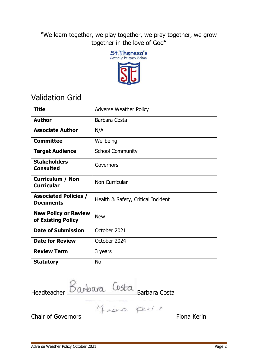"We learn together, we play together, we pray together, we grow together in the love of God"



## Validation Grid

| <b>Title</b>                                      | <b>Adverse Weather Policy</b>      |
|---------------------------------------------------|------------------------------------|
| <b>Author</b>                                     | Barbara Costa                      |
| <b>Associate Author</b>                           | N/A                                |
| <b>Committee</b>                                  | Wellbeing                          |
| <b>Target Audience</b>                            | <b>School Community</b>            |
| <b>Stakeholders</b><br><b>Consulted</b>           | Governors                          |
| <b>Curriculum / Non</b><br><b>Curricular</b>      | Non Curricular                     |
| <b>Associated Policies /</b><br><b>Documents</b>  | Health & Safety, Critical Incident |
| <b>New Policy or Review</b><br>of Existing Policy | <b>New</b>                         |
| <b>Date of Submission</b>                         | October 2021                       |
| <b>Date for Review</b>                            | October 2024                       |
| <b>Review Term</b>                                | 3 years                            |
| <b>Statutory</b>                                  | <b>No</b>                          |

Headteacher DWDWG Barbara Costa

Chair of Governors **Fiona** Kerin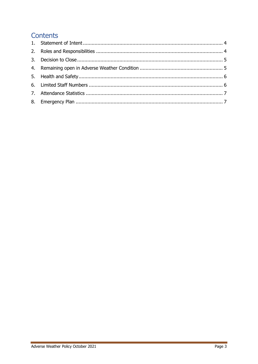## Contents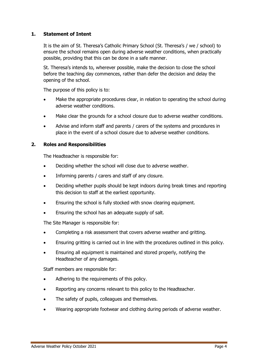#### <span id="page-3-0"></span>**1. Statement of Intent**

It is the aim of St. Theresa's Catholic Primary School (St. Theresa's / we / school) to ensure the school remains open during adverse weather conditions, when practically possible, providing that this can be done in a safe manner.

St. Theresa's intends to, wherever possible, make the decision to close the school before the teaching day commences, rather than defer the decision and delay the opening of the school.

The purpose of this policy is to:

- Make the appropriate procedures clear, in relation to operating the school during adverse weather conditions.
- Make clear the grounds for a school closure due to adverse weather conditions.
- Advise and inform staff and parents / carers of the systems and procedures in place in the event of a school closure due to adverse weather conditions.

#### <span id="page-3-1"></span>**2. Roles and Responsibilities**

The Headteacher is responsible for:

- Deciding whether the school will close due to adverse weather.
- Informing parents / carers and staff of any closure.
- Deciding whether pupils should be kept indoors during break times and reporting this decision to staff at the earliest opportunity.
- Ensuring the school is fully stocked with snow clearing equipment.
- Ensuring the school has an adequate supply of salt.

The Site Manager is responsible for:

- Completing a risk assessment that covers adverse weather and gritting.
- Ensuring gritting is carried out in line with the procedures outlined in this policy.
- Ensuring all equipment is maintained and stored properly, notifying the Headteacher of any damages.

Staff members are responsible for:

- Adhering to the requirements of this policy.
- Reporting any concerns relevant to this policy to the Headteacher.
- The safety of pupils, colleagues and themselves.
- Wearing appropriate footwear and clothing during periods of adverse weather.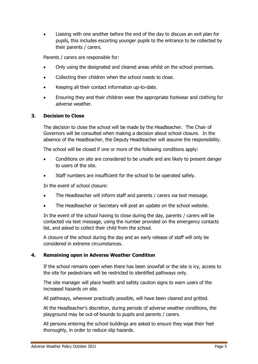Liaising with one another before the end of the day to discuss an exit plan for pupils, this includes escorting younger pupils to the entrance to be collected by their parents / carers.

Parents / carers are responsible for:

- Only using the designated and cleared areas whilst on the school premises.
- Collecting their children when the school needs to close.
- Keeping all their contact information up-to-date.
- Ensuring they and their children wear the appropriate footwear and clothing for adverse weather.

#### <span id="page-4-0"></span>**3. Decision to Close**

The decision to close the school will be made by the Headteacher. The Chair of Governors will be consulted when making a decision about school closure. In the absence of the Headteacher, the Deputy Headteacher will assume the responsibility.

The school will be closed if one or more of the following conditions apply:

- Conditions on site are considered to be unsafe and are likely to present danger to users of the site.
- Staff numbers are insufficient for the school to be operated safely.

In the event of school closure:

- The Headteacher will inform staff and parents / carers via text message.
- The Headteacher or Secretary will post an update on the school website.

In the event of the school having to close during the day, parents / carers will be contacted via text message, using the number provided on the emergency contacts list, and asked to collect their child from the school.

A closure of the school during the day and an early release of staff will only be considered in extreme circumstances.

#### <span id="page-4-1"></span>**4. Remaining open in Adverse Weather Condition**

If the school remains open when there has been snowfall or the site is icy, access to the site for pedestrians will be restricted to identified pathways only.

The site manager will place health and safety caution signs to warn users of the increased hazards on site.

All pathways, wherever practically possible, will have been cleared and gritted.

At the Headteacher's discretion, during periods of adverse weather conditions, the playground may be out-of-bounds to pupils and parents / carers.

All persons entering the school buildings are asked to ensure they wipe their feet thoroughly, in order to reduce slip hazards.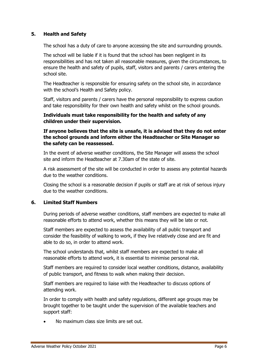#### <span id="page-5-0"></span>**5. Health and Safety**

The school has a duty of care to anyone accessing the site and surrounding grounds.

The school will be liable if it is found that the school has been negligent in its responsibilities and has not taken all reasonable measures, given the circumstances, to ensure the health and safety of pupils, staff, visitors and parents / carers entering the school site.

The Headteacher is responsible for ensuring safety on the school site, in accordance with the school's Health and Safety policy.

Staff, visitors and parents / carers have the personal responsibility to express caution and take responsibility for their own health and safety whilst on the school grounds.

#### **Individuals must take responsibility for the health and safety of any children under their supervision.**

#### **If anyone believes that the site is unsafe, it is advised that they do not enter the school grounds and inform either the Headteacher or Site Manager so the safety can be reassessed.**

In the event of adverse weather conditions, the Site Manager will assess the school site and inform the Headteacher at 7.30am of the state of site.

A risk assessment of the site will be conducted in order to assess any potential hazards due to the weather conditions.

Closing the school is a reasonable decision if pupils or staff are at risk of serious injury due to the weather conditions.

#### <span id="page-5-1"></span>**6. Limited Staff Numbers**

During periods of adverse weather conditions, staff members are expected to make all reasonable efforts to attend work, whether this means they will be late or not.

Staff members are expected to assess the availability of all public transport and consider the feasibility of walking to work, if they live relatively close and are fit and able to do so, in order to attend work.

The school understands that, whilst staff members are expected to make all reasonable efforts to attend work, it is essential to minimise personal risk.

Staff members are required to consider local weather conditions, distance, availability of public transport, and fitness to walk when making their decision.

Staff members are required to liaise with the Headteacher to discuss options of attending work.

In order to comply with health and safety regulations, different age groups may be brought together to be taught under the supervision of the available teachers and support staff:

No maximum class size limits are set out.